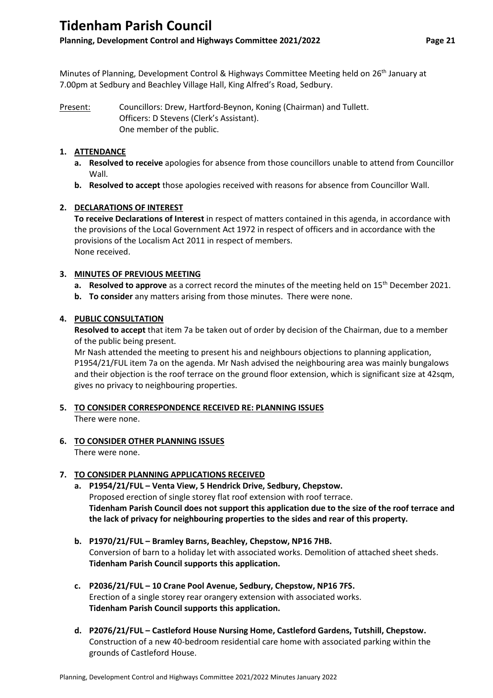## **Tidenham Parish Council**

## **Planning, Development Control and Highways Committee 2021/2022 Page 21**

Minutes of Planning, Development Control & Highways Committee Meeting held on 26<sup>th</sup> January at 7.00pm at Sedbury and Beachley Village Hall, King Alfred's Road, Sedbury.

Present: Councillors: Drew, Hartford-Beynon, Koning (Chairman) and Tullett. Officers: D Stevens (Clerk's Assistant). One member of the public.

## **1. ATTENDANCE**

- **a. Resolved to receive** apologies for absence from those councillors unable to attend from Councillor Wall.
- **b. Resolved to accept** those apologies received with reasons for absence from Councillor Wall.

## **2. DECLARATIONS OF INTEREST**

**To receive Declarations of Interest** in respect of matters contained in this agenda, in accordance with the provisions of the Local Government Act 1972 in respect of officers and in accordance with the provisions of the Localism Act 2011 in respect of members. None received.

## **3. MINUTES OF PREVIOUS MEETING**

- **a. Resolved to approve** as a correct record the minutes of the meeting held on 15<sup>th</sup> December 2021.
- **b. To consider** any matters arising from those minutes. There were none.

## **4. PUBLIC CONSULTATION**

**Resolved to accept** that item 7a be taken out of order by decision of the Chairman, due to a member of the public being present.

Mr Nash attended the meeting to present his and neighbours objections to planning application, P1954/21/FUL item 7a on the agenda. Mr Nash advised the neighbouring area was mainly bungalows and their objection is the roof terrace on the ground floor extension, which is significant size at 42sqm, gives no privacy to neighbouring properties.

- **5. TO CONSIDER CORRESPONDENCE RECEIVED RE: PLANNING ISSUES** There were none.
- **6. TO CONSIDER OTHER PLANNING ISSUES**  There were none.

## **7. TO CONSIDER PLANNING APPLICATIONS RECEIVED**

- **a. P1954/21/FUL – Venta View, 5 Hendrick Drive, Sedbury, Chepstow.** Proposed erection of single storey flat roof extension with roof terrace. **Tidenham Parish Council does not support this application due to the size of the roof terrace and the lack of privacy for neighbouring properties to the sides and rear of this property.**
- **b. P1970/21/FUL – Bramley Barns, Beachley, Chepstow, NP16 7HB.** Conversion of barn to a holiday let with associated works. Demolition of attached sheet sheds. **Tidenham Parish Council supports this application.**
- **c. P2036/21/FUL – 10 Crane Pool Avenue, Sedbury, Chepstow, NP16 7FS.** Erection of a single storey rear orangery extension with associated works. **Tidenham Parish Council supports this application.**
- **d. P2076/21/FUL – Castleford House Nursing Home, Castleford Gardens, Tutshill, Chepstow.** Construction of a new 40-bedroom residential care home with associated parking within the grounds of Castleford House.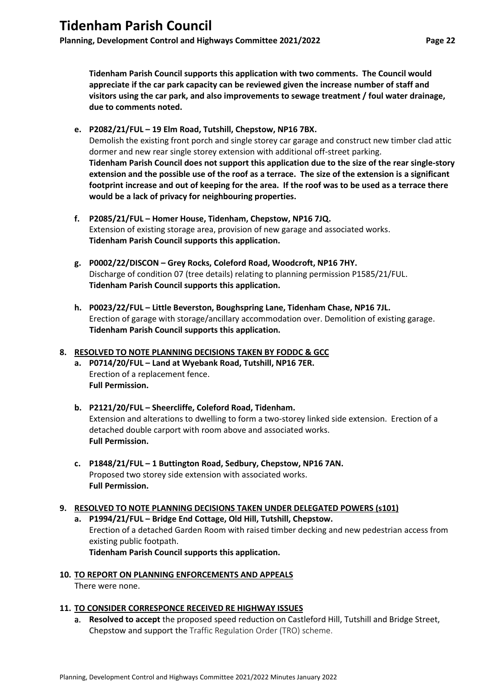**Tidenham Parish Council supports this application with two comments. The Council would appreciate if the car park capacity can be reviewed given the increase number of staff and visitors using the car park, and also improvements to sewage treatment / foul water drainage, due to comments noted.**

- **e. P2082/21/FUL – 19 Elm Road, Tutshill, Chepstow, NP16 7BX.** Demolish the existing front porch and single storey car garage and construct new timber clad attic dormer and new rear single storey extension with additional off-street parking. **Tidenham Parish Council does not support this application due to the size of the rear single-story extension and the possible use of the roof as a terrace. The size of the extension is a significant footprint increase and out of keeping for the area. If the roof was to be used as a terrace there would be a lack of privacy for neighbouring properties.**
- **f. P2085/21/FUL – Homer House, Tidenham, Chepstow, NP16 7JQ.** Extension of existing storage area, provision of new garage and associated works. **Tidenham Parish Council supports this application.**
- **g. P0002/22/DISCON – Grey Rocks, Coleford Road, Woodcroft, NP16 7HY.** Discharge of condition 07 (tree details) relating to planning permission P1585/21/FUL. **Tidenham Parish Council supports this application.**
- **h. P0023/22/FUL – Little Beverston, Boughspring Lane, Tidenham Chase, NP16 7JL.** Erection of garage with storage/ancillary accommodation over. Demolition of existing garage. **Tidenham Parish Council supports this application.**

#### **8. RESOLVED TO NOTE PLANNING DECISIONS TAKEN BY FODDC & GCC**

- **a. P0714/20/FUL – Land at Wyebank Road, Tutshill, NP16 7ER.** Erection of a replacement fence. **Full Permission.**
- **b. P2121/20/FUL – Sheercliffe, Coleford Road, Tidenham.** Extension and alterations to dwelling to form a two-storey linked side extension. Erection of a detached double carport with room above and associated works. **Full Permission.**
- **c. P1848/21/FUL – 1 Buttington Road, Sedbury, Chepstow, NP16 7AN.** Proposed two storey side extension with associated works. **Full Permission.**

#### **9. RESOLVED TO NOTE PLANNING DECISIONS TAKEN UNDER DELEGATED POWERS (s101)**

- **a. P1994/21/FUL – Bridge End Cottage, Old Hill, Tutshill, Chepstow.** Erection of a detached Garden Room with raised timber decking and new pedestrian access from existing public footpath. **Tidenham Parish Council supports this application.**
- **10. TO REPORT ON PLANNING ENFORCEMENTS AND APPEALS** There were none.

## **11. TO CONSIDER CORRESPONCE RECEIVED RE HIGHWAY ISSUES**

a. **Resolved to accept** the proposed speed reduction on Castleford Hill, Tutshill and Bridge Street, Chepstow and support the Traffic Regulation Order (TRO) scheme.